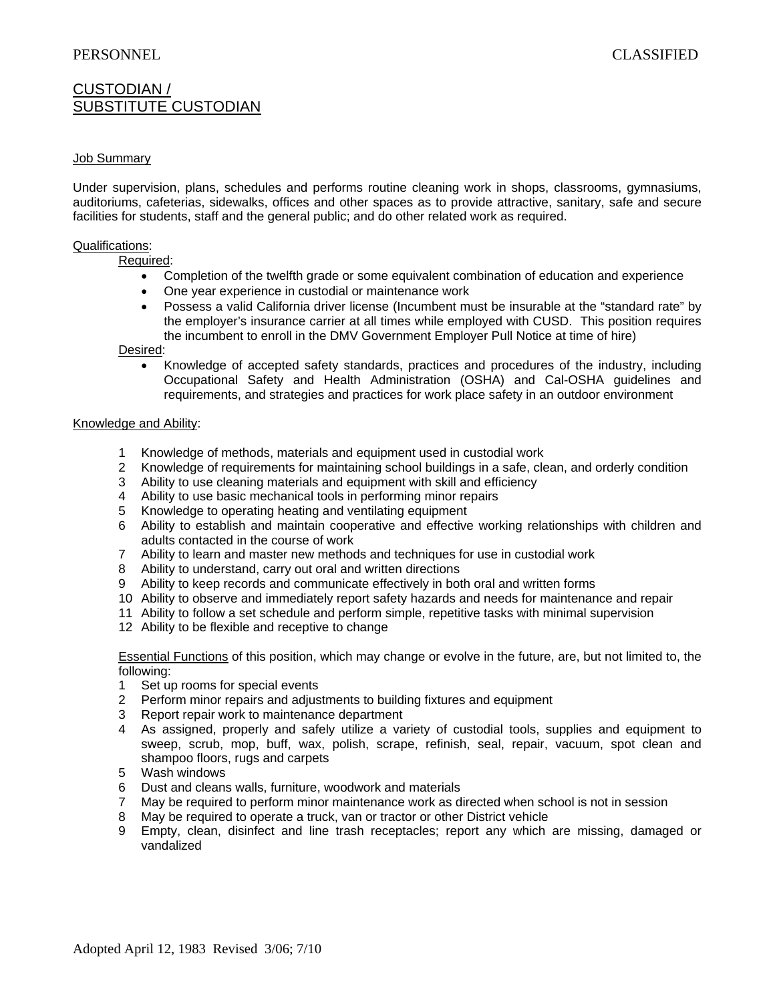# CUSTODIAN / SUBSTITUTE CUSTODIAN

### Job Summary

Under supervision, plans, schedules and performs routine cleaning work in shops, classrooms, gymnasiums, auditoriums, cafeterias, sidewalks, offices and other spaces as to provide attractive, sanitary, safe and secure facilities for students, staff and the general public; and do other related work as required.

#### Qualifications:

Required:

- Completion of the twelfth grade or some equivalent combination of education and experience
- One year experience in custodial or maintenance work
- Possess a valid California driver license (Incumbent must be insurable at the "standard rate" by the employer's insurance carrier at all times while employed with CUSD. This position requires the incumbent to enroll in the DMV Government Employer Pull Notice at time of hire)

#### Desired:

 Knowledge of accepted safety standards, practices and procedures of the industry, including Occupational Safety and Health Administration (OSHA) and Cal-OSHA guidelines and requirements, and strategies and practices for work place safety in an outdoor environment

#### Knowledge and Ability:

- 1 Knowledge of methods, materials and equipment used in custodial work
- 2 Knowledge of requirements for maintaining school buildings in a safe, clean, and orderly condition
- 3 Ability to use cleaning materials and equipment with skill and efficiency
- 4 Ability to use basic mechanical tools in performing minor repairs
- 5 Knowledge to operating heating and ventilating equipment
- 6 Ability to establish and maintain cooperative and effective working relationships with children and adults contacted in the course of work
- 7 Ability to learn and master new methods and techniques for use in custodial work
- 8 Ability to understand, carry out oral and written directions
- 9 Ability to keep records and communicate effectively in both oral and written forms
- 10 Ability to observe and immediately report safety hazards and needs for maintenance and repair
- 11 Ability to follow a set schedule and perform simple, repetitive tasks with minimal supervision
- 12 Ability to be flexible and receptive to change

Essential Functions of this position, which may change or evolve in the future, are, but not limited to, the following:

- 1 Set up rooms for special events
- 2 Perform minor repairs and adjustments to building fixtures and equipment
- 3 Report repair work to maintenance department
- 4 As assigned, properly and safely utilize a variety of custodial tools, supplies and equipment to sweep, scrub, mop, buff, wax, polish, scrape, refinish, seal, repair, vacuum, spot clean and shampoo floors, rugs and carpets
- 5 Wash windows
- 6 Dust and cleans walls, furniture, woodwork and materials
- 7 May be required to perform minor maintenance work as directed when school is not in session
- 8 May be required to operate a truck, van or tractor or other District vehicle
- 9 Empty, clean, disinfect and line trash receptacles; report any which are missing, damaged or vandalized